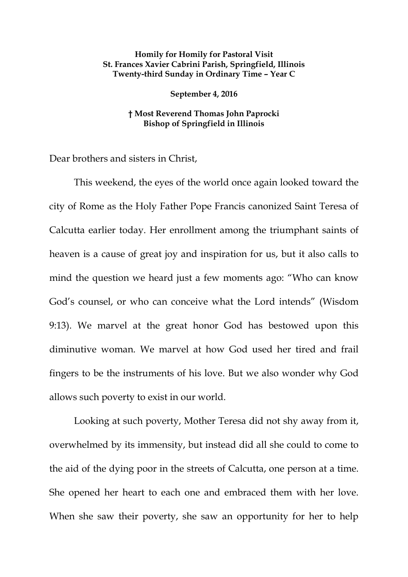## **Homily for Homily for Pastoral Visit St. Frances Xavier Cabrini Parish, Springfield, Illinois Twenty-third Sunday in Ordinary Time – Year C**

## **September 4, 2016**

## **† Most Reverend Thomas John Paprocki Bishop of Springfield in Illinois**

Dear brothers and sisters in Christ,

This weekend, the eyes of the world once again looked toward the city of Rome as the Holy Father Pope Francis canonized Saint Teresa of Calcutta earlier today. Her enrollment among the triumphant saints of heaven is a cause of great joy and inspiration for us, but it also calls to mind the question we heard just a few moments ago: "Who can know God's counsel, or who can conceive what the Lord intends" (Wisdom 9:13). We marvel at the great honor God has bestowed upon this diminutive woman. We marvel at how God used her tired and frail fingers to be the instruments of his love. But we also wonder why God allows such poverty to exist in our world.

Looking at such poverty, Mother Teresa did not shy away from it, overwhelmed by its immensity, but instead did all she could to come to the aid of the dying poor in the streets of Calcutta, one person at a time. She opened her heart to each one and embraced them with her love. When she saw their poverty, she saw an opportunity for her to help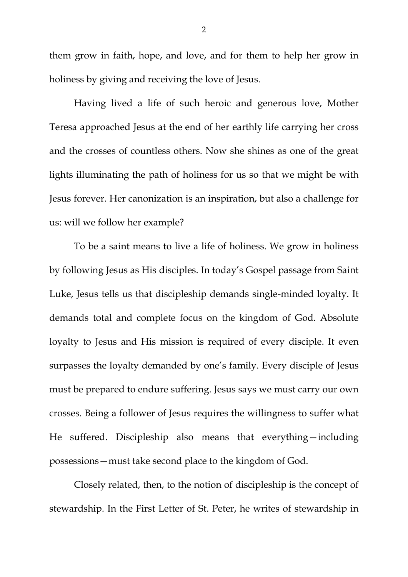them grow in faith, hope, and love, and for them to help her grow in holiness by giving and receiving the love of Jesus.

Having lived a life of such heroic and generous love, Mother Teresa approached Jesus at the end of her earthly life carrying her cross and the crosses of countless others. Now she shines as one of the great lights illuminating the path of holiness for us so that we might be with Jesus forever. Her canonization is an inspiration, but also a challenge for us: will we follow her example?

To be a saint means to live a life of holiness. We grow in holiness by following Jesus as His disciples. In today's Gospel passage from Saint Luke, Jesus tells us that discipleship demands single-minded loyalty. It demands total and complete focus on the kingdom of God. Absolute loyalty to Jesus and His mission is required of every disciple. It even surpasses the loyalty demanded by one's family. Every disciple of Jesus must be prepared to endure suffering. Jesus says we must carry our own crosses. Being a follower of Jesus requires the willingness to suffer what He suffered. Discipleship also means that everything—including possessions—must take second place to the kingdom of God.

<span id="page-1-0"></span>Closely related, then, to the notion of discipleship is the concept of stewardship. In the First Letter of St. Peter, he writes of stewardship in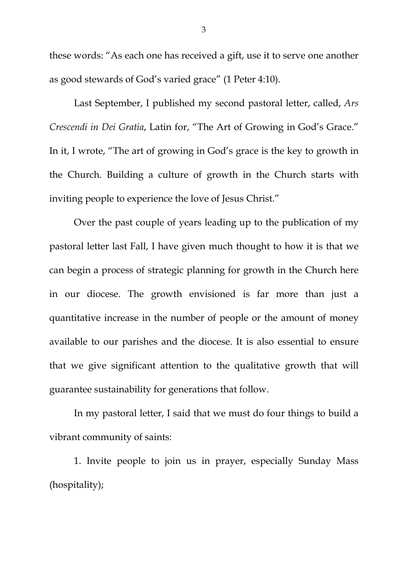these words: "As each one has received a gift, use it to serve one another as good stewards of God's varied grace" (1 Peter 4:10).

Last September, I published my second pastoral letter, called, *Ars Crescendi in Dei Gratia*, Latin for, "The Art of Growing in God's Grace." In it, I wrote, "The art of growing in God's grace is the key to growth in the Church. Building a culture of growth in the Church starts with inviting people to experience the love of Jesus Christ."

Over the past couple of years leading up to the publication of my pastoral letter last Fall, I have given much thought to how it is that we can begin a process of strategic planning for growth in the Church here in our diocese. The growth envisioned is far more than just a quantitative increase in the number of people or the amount of money available to our parishes and the diocese. It is also essential to ensure that we give significant attention to the qualitative growth that will guarantee sustainability for generations that follow.

In my pastoral letter, I said that we must do four things to build a vibrant community of saints:

1. Invite people to join us in prayer, especially Sunday Mass (hospitality);

3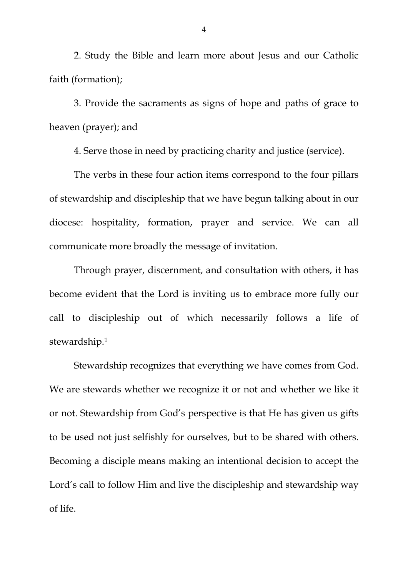2. Study the Bible and learn more about Jesus and our Catholic faith (formation);

3. Provide the sacraments as signs of hope and paths of grace to heaven (prayer); and

4. Serve those in need by practicing charity and justice (service).

The verbs in these four action items correspond to the four pillars of stewardship and discipleship that we have begun talking about in our diocese: hospitality, formation, prayer and service. We can all communicate more broadly the message of invitation.

Through prayer, discernment, and consultation with others, it has become evident that the Lord is inviting us to embrace more fully our call to discipleship out of which necessarily follows a life of stewardship.[1](#page-1-0)

Stewardship recognizes that everything we have comes from God. We are stewards whether we recognize it or not and whether we like it or not. Stewardship from God's perspective is that He has given us gifts to be used not just selfishly for ourselves, but to be shared with others. Becoming a disciple means making an intentional decision to accept the Lord's call to follow Him and live the discipleship and stewardship way of life.